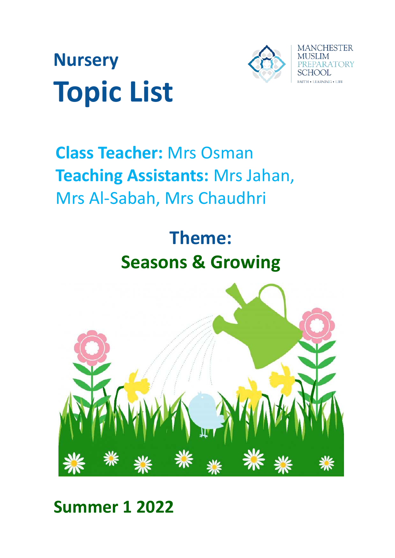



## **Class Teacher:** Mrs Osman **Teaching Assistants:** Mrs Jahan, Mrs Al-Sabah, Mrs Chaudhri

# **Theme: Seasons & Growing**



## **Summer 1 2022**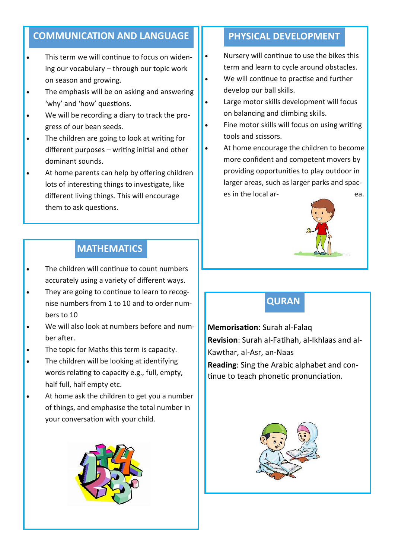#### **COMMUNICATION AND LANGUAGE II PHYSICAL DEVELOPMENT**

- This term we will continue to focus on widening our vocabulary – through our topic work on season and growing.
- The emphasis will be on asking and answering 'why' and 'how' questions.
- We will be recording a diary to track the progress of our bean seeds.
- The children are going to look at writing for different purposes – writing initial and other dominant sounds.
- At home parents can help by offering children lots of interesting things to investigate, like different living things. This will encourage them to ask questions.

#### **MATHEMATICS**

- The children will continue to count numbers accurately using a variety of different ways.
- They are going to continue to learn to recognise numbers from 1 to 10 and to order numbers to 10
- We will also look at numbers before and number after.
- The topic for Maths this term is capacity.
- The children will be looking at identifying words relating to capacity e.g., full, empty, half full, half empty etc.
- At home ask the children to get you a number of things, and emphasise the total number in your conversation with your child.



- Nursery will continue to use the bikes this term and learn to cycle around obstacles.
- We will continue to practise and further develop our ball skills.
- Large motor skills development will focus on balancing and climbing skills.
- Fine motor skills will focus on using writing tools and scissors.
- At home encourage the children to become more confident and competent movers by providing opportunities to play outdoor in larger areas, such as larger parks and spaces in the local ar-<br>
ea.



### **QURAN**

**Memorisation**: Surah al-Falaq **Revision**: Surah al-Fatihah, al-Ikhlaas and al-Kawthar, al-Asr, an-Naas **Reading**: Sing the Arabic alphabet and continue to teach phonetic pronunciation.